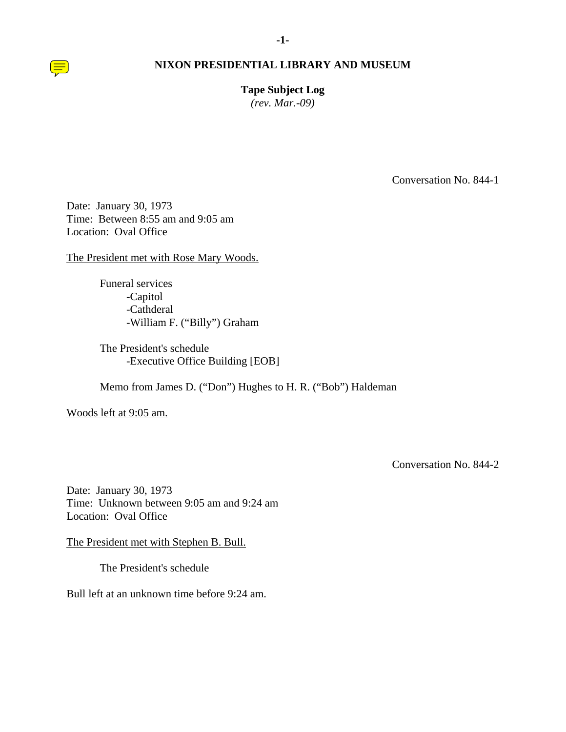**Tape Subject Log**  *(rev. Mar.-09)* 

Conversation No. 844-1

Date: January 30, 1973 Time: Between 8:55 am and 9:05 am Location: Oval Office

The President met with Rose Mary Woods.

Funeral services -Capitol -Cathderal -William F. ("Billy") Graham

The President's schedule -Executive Office Building [EOB]

Memo from James D. ("Don") Hughes to H. R. ("Bob") Haldeman

Woods left at 9:05 am.

Conversation No. 844-2

Date: January 30, 1973 Time: Unknown between 9:05 am and 9:24 am Location: Oval Office

The President met with Stephen B. Bull.

The President's schedule

Bull left at an unknown time before 9:24 am.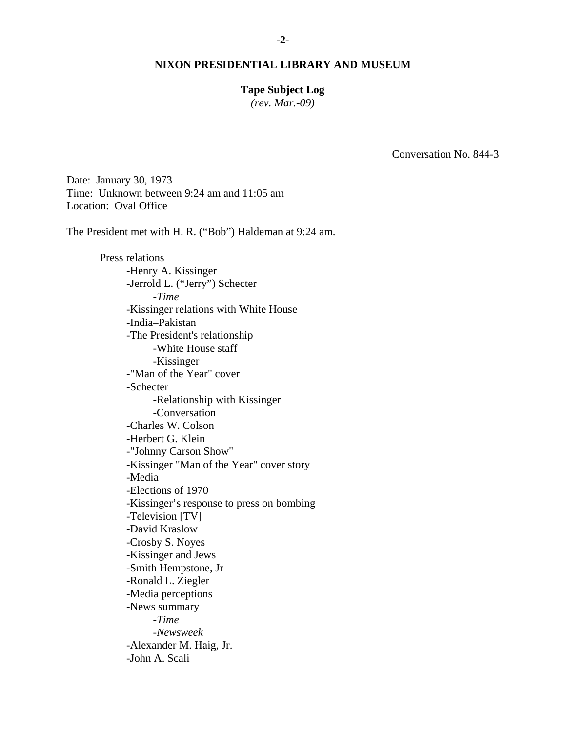### **Tape Subject Log**

*(rev. Mar.-09)* 

Conversation No. 844-3

Date: January 30, 1973 Time: Unknown between 9:24 am and 11:05 am Location: Oval Office

The President met with H. R. ("Bob") Haldeman at 9:24 am.

Press relations -Henry A. Kissinger -Jerrold L. ("Jerry") Schecter -*Time*  -Kissinger relations with White House -India–Pakistan -The President's relationship -White House staff -Kissinger -"Man of the Year" cover -Schecter -Relationship with Kissinger -Conversation -Charles W. Colson -Herbert G. Klein -"Johnny Carson Show" -Kissinger "Man of the Year" cover story -Media -Elections of 1970 -Kissinger's response to press on bombing -Television [TV] -David Kraslow -Crosby S. Noyes -Kissinger and Jews -Smith Hempstone, Jr -Ronald L. Ziegler -Media perceptions -News summary -*Time* -*Newsweek* -Alexander M. Haig, Jr. -John A. Scali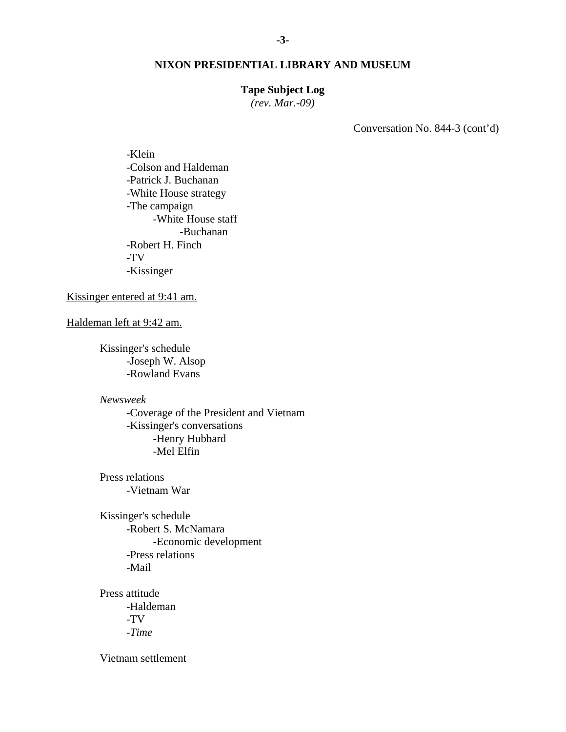# **Tape Subject Log**

*(rev. Mar.-09)* 

Conversation No. 844-3 (cont'd)

-Klein -Colson and Haldeman -Patrick J. Buchanan -White House strategy -The campaign -White House staff -Buchanan -Robert H. Finch -TV -Kissinger

Kissinger entered at 9:41 am.

Haldeman left at 9:42 am.

Kissinger's schedule -Joseph W. Alsop -Rowland Evans

*Newsweek* 

-Coverage of the President and Vietnam -Kissinger's conversations -Henry Hubbard -Mel Elfin

Press relations -Vietnam War

Kissinger's schedule -Robert S. McNamara -Economic development -Press relations -Mail

Press attitude -Haldeman -TV -*Time*

Vietnam settlement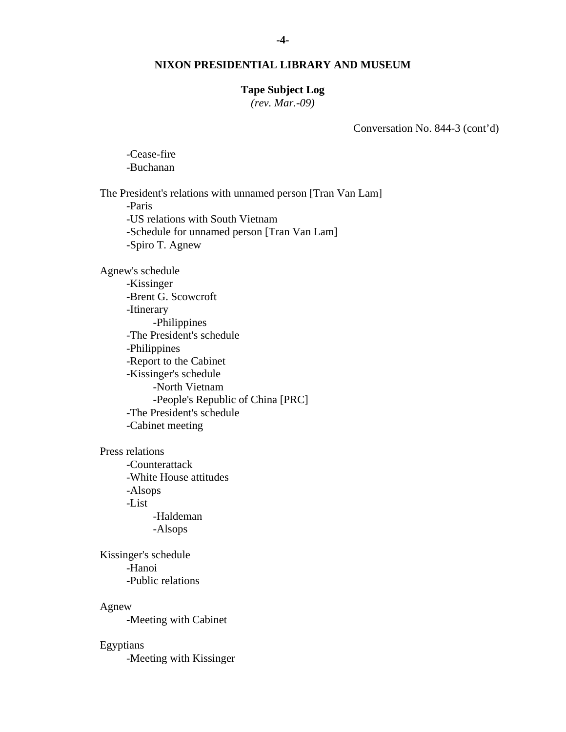### **Tape Subject Log**

*(rev. Mar.-09)* 

Conversation No. 844-3 (cont'd)

-Cease-fire -Buchanan

The President's relations with unnamed person [Tran Van Lam] -Paris -US relations with South Vietnam -Schedule for unnamed person [Tran Van Lam] -Spiro T. Agnew

Agnew's schedule

-Kissinger -Brent G. Scowcroft -Itinerary -Philippines -The President's schedule -Philippines -Report to the Cabinet -Kissinger's schedule -North Vietnam -People's Republic of China [PRC] -The President's schedule -Cabinet meeting

Press relations

-Counterattack -White House attitudes -Alsops -List -Haldeman -Alsops

Kissinger's schedule -Hanoi -Public relations

Agnew

-Meeting with Cabinet

# Egyptians

-Meeting with Kissinger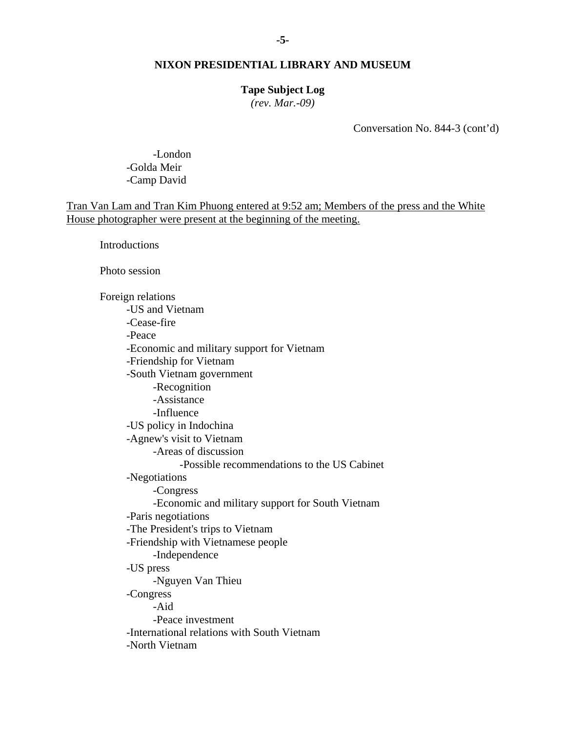### **Tape Subject Log**

*(rev. Mar.-09)* 

Conversation No. 844-3 (cont'd)

 -London -Golda Meir -Camp David

Tran Van Lam and Tran Kim Phuong entered at 9:52 am; Members of the press and the White House photographer were present at the beginning of the meeting.

**Introductions** 

Photo session

Foreign relations -US and Vietnam -Cease-fire -Peace -Economic and military support for Vietnam -Friendship for Vietnam -South Vietnam government -Recognition -Assistance -Influence -US policy in Indochina -Agnew's visit to Vietnam -Areas of discussion -Possible recommendations to the US Cabinet -Negotiations -Congress -Economic and military support for South Vietnam -Paris negotiations -The President's trips to Vietnam -Friendship with Vietnamese people -Independence -US press -Nguyen Van Thieu -Congress -Aid -Peace investment -International relations with South Vietnam -North Vietnam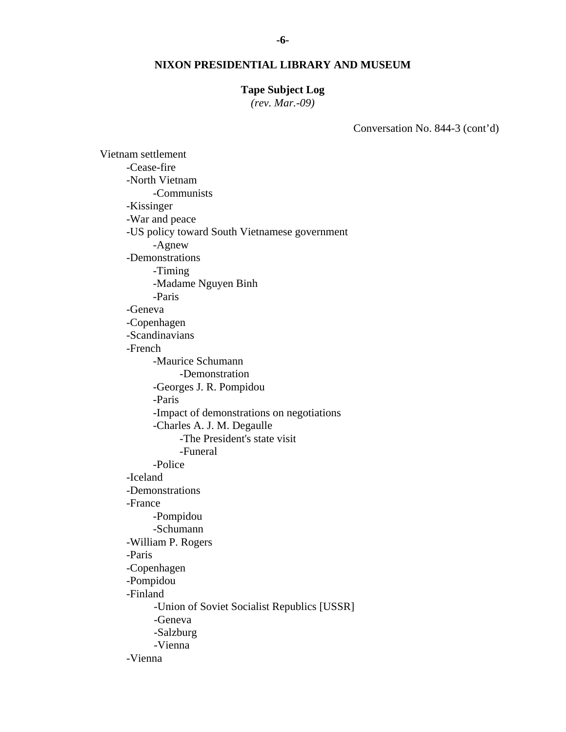### **Tape Subject Log**

*(rev. Mar.-09)* 

Conversation No. 844-3 (cont'd)

Vietnam settlement -Cease-fire -North Vietnam -Communists -Kissinger -War and peace -US policy toward South Vietnamese government -Agnew -Demonstrations -Timing -Madame Nguyen Binh -Paris -Geneva -Copenhagen -Scandinavians -French -Maurice Schumann -Demonstration -Georges J. R. Pompidou -Paris -Impact of demonstrations on negotiations -Charles A. J. M. Degaulle -The President's state visit -Funeral -Police -Iceland -Demonstrations -France -Pompidou -Schumann -William P. Rogers -Paris -Copenhagen -Pompidou -Finland -Union of Soviet Socialist Republics [USSR] -Geneva -Salzburg -Vienna -Vienna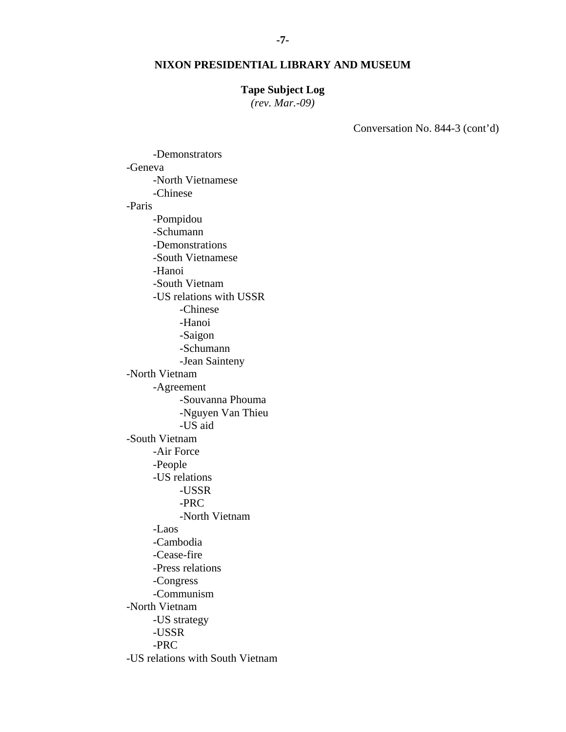### **Tape Subject Log**

*(rev. Mar.-09)* 

Conversation No. 844-3 (cont'd)

-Demonstrators -Geneva -North Vietnamese -Chinese -Paris -Pompidou -Schumann -Demonstrations -South Vietnamese -Hanoi -South Vietnam -US relations with USSR -Chinese -Hanoi -Saigon -Schumann -Jean Sainteny -North Vietnam -Agreement -Souvanna Phouma -Nguyen Van Thieu -US aid -South Vietnam -Air Force -People -US relations -USSR -PRC -North Vietnam -Laos -Cambodia -Cease-fire -Press relations -Congress -Communism -North Vietnam -US strategy -USSR -PRC -US relations with South Vietnam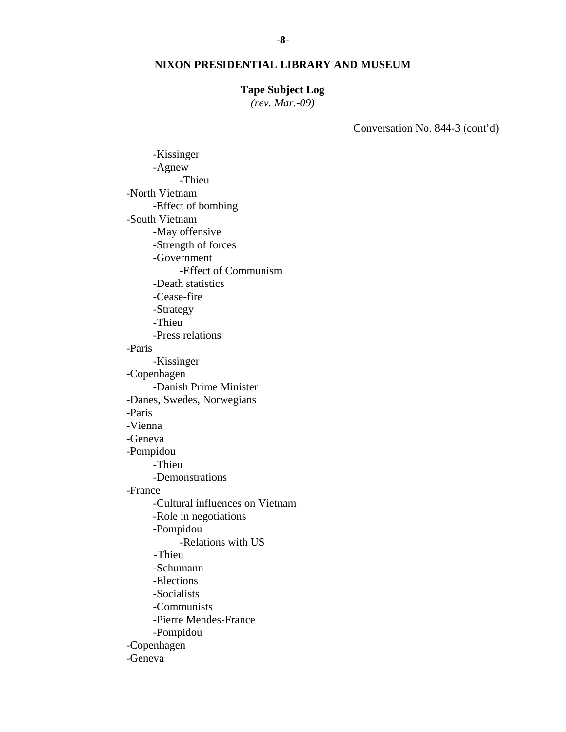### **Tape Subject Log**

*(rev. Mar.-09)* 

Conversation No. 844-3 (cont'd)

-Kissinger -Agnew -Thieu -North Vietnam -Effect of bombing -South Vietnam -May offensive -Strength of forces -Government -Effect of Communism -Death statistics -Cease-fire -Strategy -Thieu -Press relations -Paris -Kissinger -Copenhagen -Danish Prime Minister -Danes, Swedes, Norwegians -Paris -Vienna -Geneva -Pompidou -Thieu -Demonstrations -France -Cultural influences on Vietnam -Role in negotiations -Pompidou -Relations with US -Thieu -Schumann -Elections -Socialists -Communists -Pierre Mendes-France -Pompidou -Copenhagen -Geneva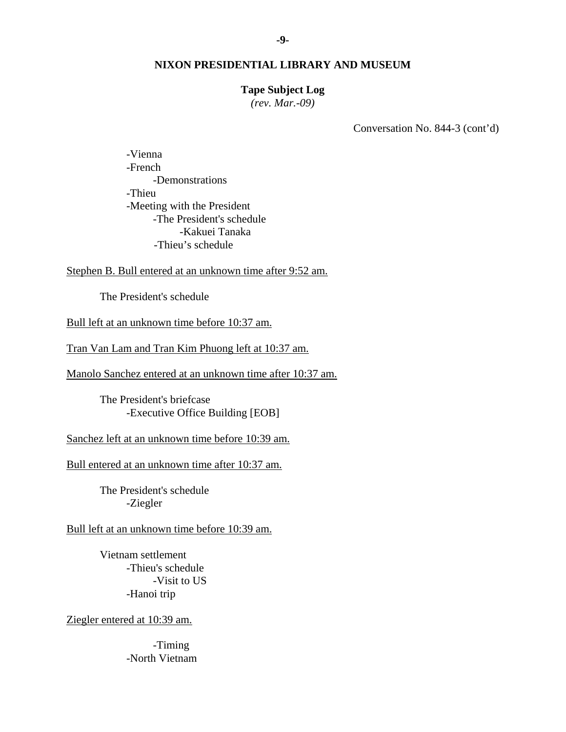# **Tape Subject Log**

*(rev. Mar.-09)* 

Conversation No. 844-3 (cont'd)

-Vienna -French -Demonstrations -Thieu -Meeting with the President -The President's schedule -Kakuei Tanaka -Thieu's schedule

Stephen B. Bull entered at an unknown time after 9:52 am.

The President's schedule

Bull left at an unknown time before 10:37 am.

Tran Van Lam and Tran Kim Phuong left at 10:37 am.

Manolo Sanchez entered at an unknown time after 10:37 am.

The President's briefcase -Executive Office Building [EOB]

Sanchez left at an unknown time before 10:39 am.

Bull entered at an unknown time after 10:37 am.

The President's schedule -Ziegler

Bull left at an unknown time before 10:39 am.

Vietnam settlement -Thieu's schedule -Visit to US -Hanoi trip

Ziegler entered at 10:39 am.

 -Timing -North Vietnam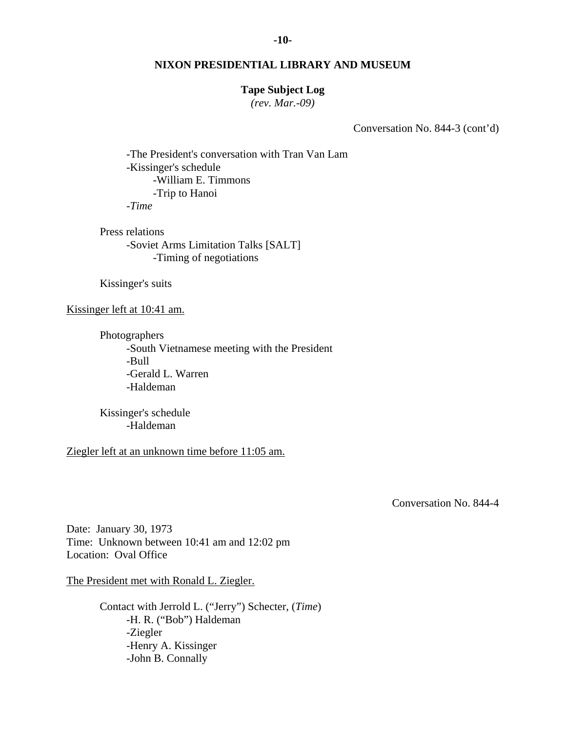### **Tape Subject Log**

*(rev. Mar.-09)* 

Conversation No. 844-3 (cont'd)

-The President's conversation with Tran Van Lam -Kissinger's schedule -William E. Timmons -Trip to Hanoi -*Time*

Press relations -Soviet Arms Limitation Talks [SALT] -Timing of negotiations

Kissinger's suits

Kissinger left at 10:41 am.

Photographers -South Vietnamese meeting with the President -Bull -Gerald L. Warren -Haldeman

Kissinger's schedule -Haldeman

Ziegler left at an unknown time before 11:05 am.

Conversation No. 844-4

Date: January 30, 1973 Time: Unknown between 10:41 am and 12:02 pm Location: Oval Office

The President met with Ronald L. Ziegler.

Contact with Jerrold L. ("Jerry") Schecter, (*Time*) -H. R. ("Bob") Haldeman -Ziegler -Henry A. Kissinger -John B. Connally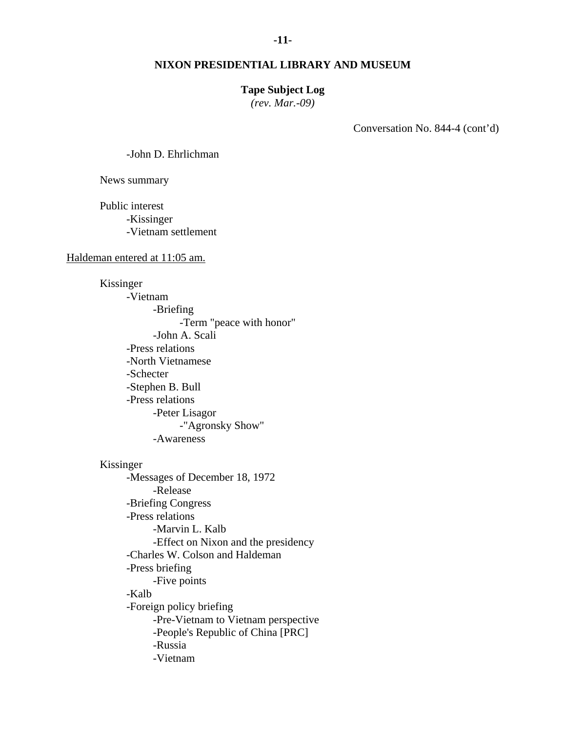### **Tape Subject Log**

*(rev. Mar.-09)* 

Conversation No. 844-4 (cont'd)

-John D. Ehrlichman

News summary

Public interest -Kissinger -Vietnam settlement

### Haldeman entered at 11:05 am.

Kissinger -Vietnam -Briefing -Term "peace with honor" -John A. Scali -Press relations -North Vietnamese -Schecter -Stephen B. Bull -Press relations -Peter Lisagor -"Agronsky Show" -Awareness

### Kissinger

-Messages of December 18, 1972 -Release -Briefing Congress -Press relations -Marvin L. Kalb -Effect on Nixon and the presidency -Charles W. Colson and Haldeman -Press briefing -Five points -Kalb -Foreign policy briefing -Pre-Vietnam to Vietnam perspective -People's Republic of China [PRC] -Russia -Vietnam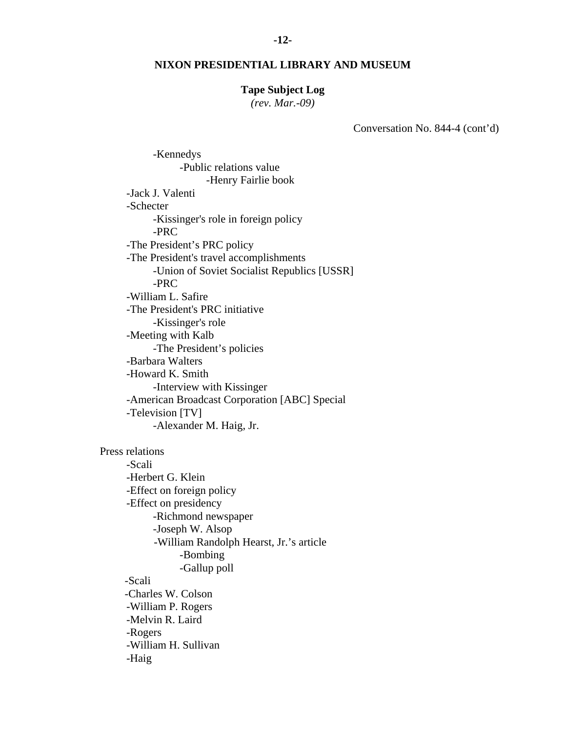#### **Tape Subject Log**

*(rev. Mar.-09)* 

Conversation No. 844-4 (cont'd)

-Kennedys -Public relations value -Henry Fairlie book -Jack J. Valenti -Schecter -Kissinger's role in foreign policy -PRC -The President's PRC policy -The President's travel accomplishments -Union of Soviet Socialist Republics [USSR] -PRC -William L. Safire -The President's PRC initiative -Kissinger's role -Meeting with Kalb -The President's policies -Barbara Walters -Howard K. Smith -Interview with Kissinger -American Broadcast Corporation [ABC] Special -Television [TV] -Alexander M. Haig, Jr. Press relations -Scali -Herbert G. Klein -Effect on foreign policy -Effect on presidency -Richmond newspaper -Joseph W. Alsop -William Randolph Hearst, Jr.'s article -Bombing -Gallup poll -Scali -Charles W. Colson -William P. Rogers -Melvin R. Laird -Rogers -William H. Sullivan -Haig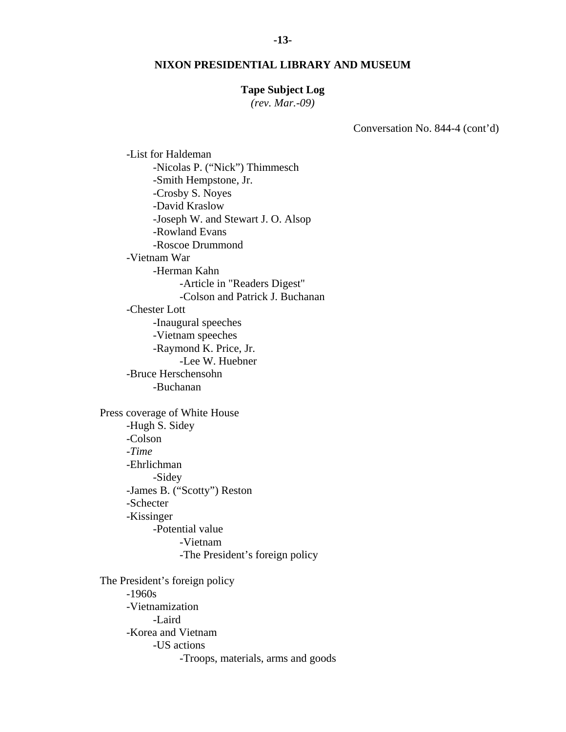#### **-13-**

#### **NIXON PRESIDENTIAL LIBRARY AND MUSEUM**

#### **Tape Subject Log**

*(rev. Mar.-09)* 

Conversation No. 844-4 (cont'd)

-Nicolas P. ("Nick") Thimmesch -Smith Hempstone, Jr. -Crosby S. Noyes -David Kraslow -Joseph W. and Stewart J. O. Alsop -Rowland Evans -Roscoe Drummond -Vietnam War -Herman Kahn -Article in "Readers Digest" -Colson and Patrick J. Buchanan -Chester Lott -Inaugural speeches -Vietnam speeches -Raymond K. Price, Jr. -Lee W. Huebner -Bruce Herschensohn -Buchanan Press coverage of White House -Hugh S. Sidey -Colson -*Time* -Ehrlichman -Sidey -James B. ("Scotty") Reston -Schecter -Kissinger -Potential value -Vietnam -The President's foreign policy The President's foreign policy -1960s -Vietnamization -Laird -Korea and Vietnam -US actions -Troops, materials, arms and goods

-List for Haldeman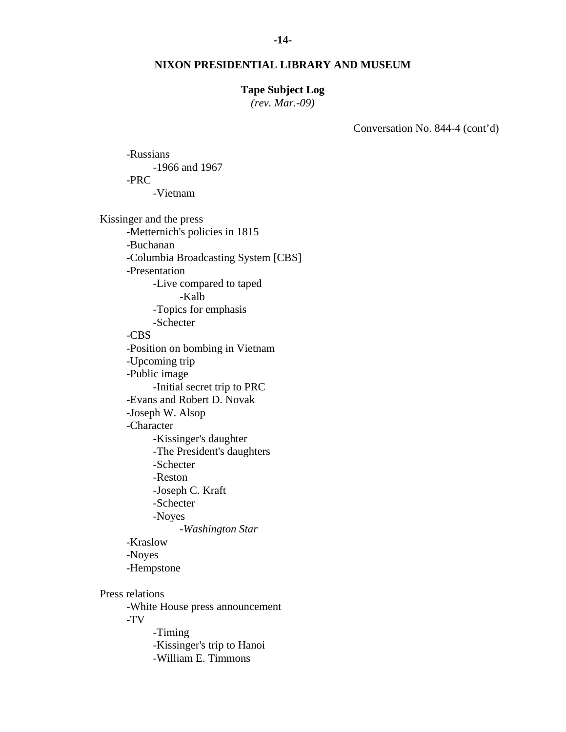#### **-14-**

### **NIXON PRESIDENTIAL LIBRARY AND MUSEUM**

### **Tape Subject Log**

*(rev. Mar.-09)* 

Conversation No. 844-4 (cont'd)

-PRC -Vietnam Kissinger and the press -Metternich's policies in 1815 -Buchanan -Columbia Broadcasting System [CBS] -Presentation -Live compared to taped -Kalb -Topics for emphasis -Schecter -CBS -Position on bombing in Vietnam -Upcoming trip -Public image -Initial secret trip to PRC -Evans and Robert D. Novak -Joseph W. Alsop -Character -Kissinger's daughter -The President's daughters -Schecter -Reston -Joseph C. Kraft -Schecter -Noyes -*Washington Star* -Kraslow -Noyes -Hempstone Press relations -White House press announcement -TV -Timing -Kissinger's trip to Hanoi -William E. Timmons

-Russians

-1966 and 1967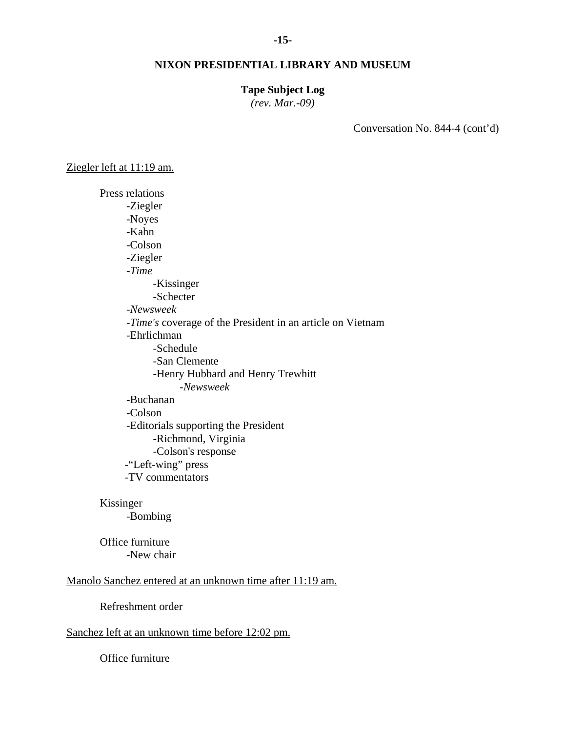### **Tape Subject Log**

*(rev. Mar.-09)* 

Conversation No. 844-4 (cont'd)

Ziegler left at 11:19 am.

Press relations -Ziegler -Noyes -Kahn -Colson -Ziegler -*Time*  -Kissinger -Schecter -*Newsweek* -*Time's* coverage of the President in an article on Vietnam -Ehrlichman -Schedule -San Clemente -Henry Hubbard and Henry Trewhitt -*Newsweek*  -Buchanan -Colson -Editorials supporting the President -Richmond, Virginia -Colson's response -"Left-wing" press -TV commentators

### Kissinger

-Bombing

Office furniture -New chair

# Manolo Sanchez entered at an unknown time after 11:19 am.

Refreshment order

# Sanchez left at an unknown time before 12:02 pm.

Office furniture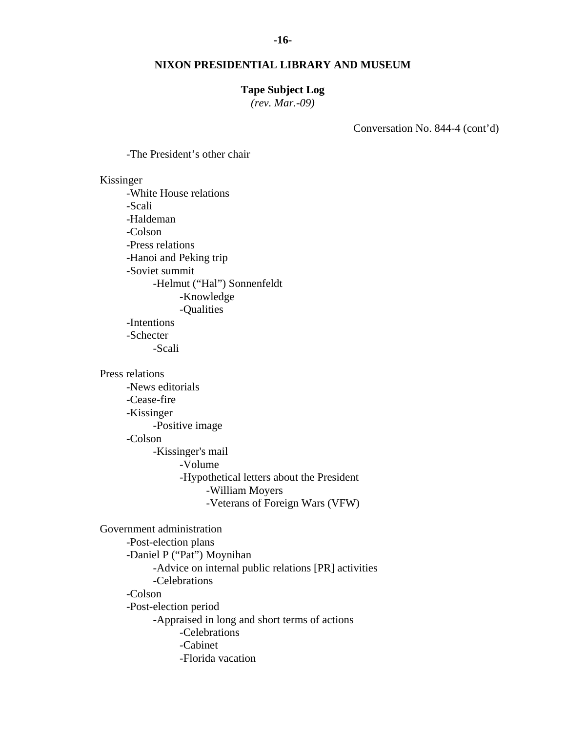### **Tape Subject Log**

*(rev. Mar.-09)* 

Conversation No. 844-4 (cont'd)

-The President's other chair

Kissinger

-White House relations -Scali -Haldeman -Colson -Press relations -Hanoi and Peking trip -Soviet summit -Helmut ("Hal") Sonnenfeldt -Knowledge -Qualities -Intentions -Schecter -Scali

Press relations

-News editorials -Cease-fire -Kissinger -Positive image -Colson -Kissinger's mail -Volume -Hypothetical letters about the President -William Moyers

-Veterans of Foreign Wars (VFW)

Government administration -Post-election plans -Daniel P ("Pat") Moynihan -Advice on internal public relations [PR] activities -Celebrations -Colson -Post-election period -Appraised in long and short terms of actions -Celebrations -Cabinet -Florida vacation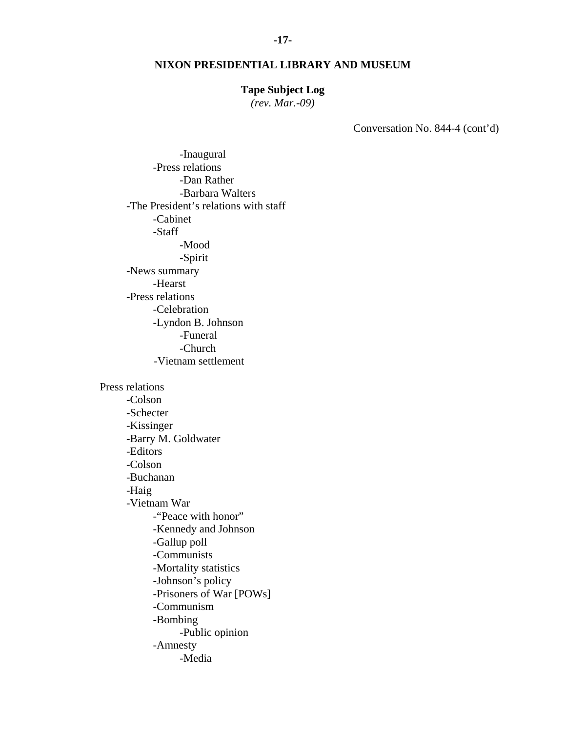### **Tape Subject Log**

*(rev. Mar.-09)* 

Conversation No. 844-4 (cont'd)

-Inaugural -Press relations -Dan Rather -Barbara Walters -The President's relations with staff -Cabinet -Staff -Mood -Spirit -News summary -Hearst -Press relations -Celebration -Lyndon B. Johnson -Funeral -Church -Vietnam settlement Press relations -Colson -Schecter -Kissinger -Barry M. Goldwater -Editors -Colson -Buchanan -Haig -Vietnam War -"Peace with honor" -Kennedy and Johnson -Gallup poll -Communists -Mortality statistics -Johnson's policy -Prisoners of War [POWs] -Communism -Bombing -Public opinion -Amnesty -Media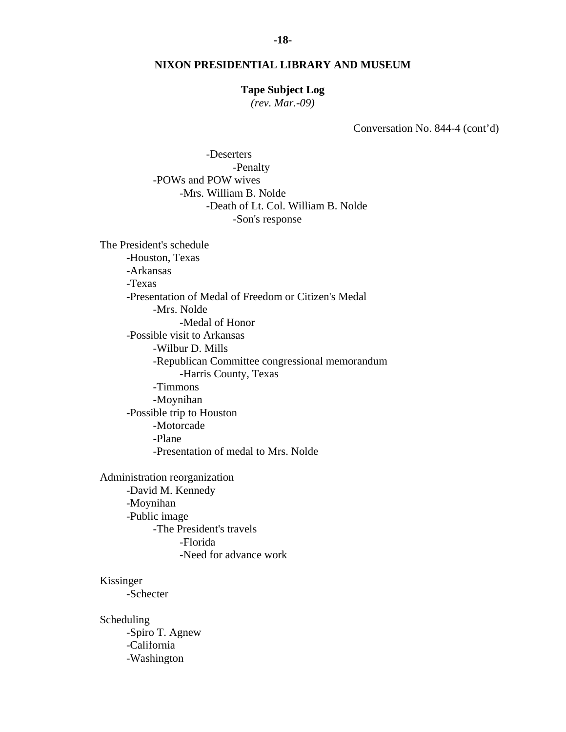### **Tape Subject Log**

*(rev. Mar.-09)* 

Conversation No. 844-4 (cont'd)

 -Deserters -Penalty -POWs and POW wives -Mrs. William B. Nolde -Death of Lt. Col. William B. Nolde -Son's response

The President's schedule -Houston, Texas -Arkansas -Texas -Presentation of Medal of Freedom or Citizen's Medal -Mrs. Nolde -Medal of Honor -Possible visit to Arkansas -Wilbur D. Mills -Republican Committee congressional memorandum -Harris County, Texas -Timmons -Moynihan -Possible trip to Houston -Motorcade -Plane -Presentation of medal to Mrs. Nolde

Administration reorganization -David M. Kennedy -Moynihan -Public image -The President's travels -Florida -Need for advance work

Kissinger

-Schecter

Scheduling -Spiro T. Agnew -California -Washington